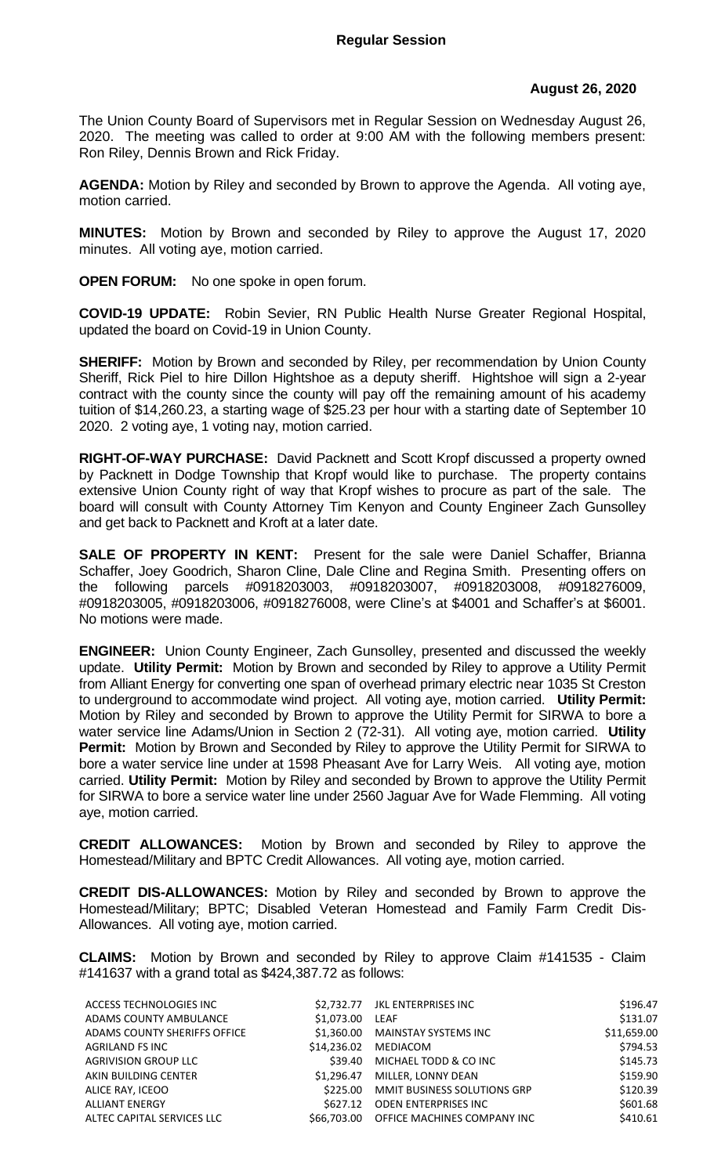## **August 26, 2020**

The Union County Board of Supervisors met in Regular Session on Wednesday August 26, 2020. The meeting was called to order at 9:00 AM with the following members present: Ron Riley, Dennis Brown and Rick Friday.

**AGENDA:** Motion by Riley and seconded by Brown to approve the Agenda. All voting aye, motion carried.

**MINUTES:** Motion by Brown and seconded by Riley to approve the August 17, 2020 minutes. All voting aye, motion carried.

**OPEN FORUM:** No one spoke in open forum.

**COVID-19 UPDATE:** Robin Sevier, RN Public Health Nurse Greater Regional Hospital, updated the board on Covid-19 in Union County.

**SHERIFF:** Motion by Brown and seconded by Riley, per recommendation by Union County Sheriff, Rick Piel to hire Dillon Hightshoe as a deputy sheriff. Hightshoe will sign a 2-year contract with the county since the county will pay off the remaining amount of his academy tuition of \$14,260.23, a starting wage of \$25.23 per hour with a starting date of September 10 2020. 2 voting aye, 1 voting nay, motion carried.

**RIGHT-OF-WAY PURCHASE:** David Packnett and Scott Kropf discussed a property owned by Packnett in Dodge Township that Kropf would like to purchase. The property contains extensive Union County right of way that Kropf wishes to procure as part of the sale. The board will consult with County Attorney Tim Kenyon and County Engineer Zach Gunsolley and get back to Packnett and Kroft at a later date.

**SALE OF PROPERTY IN KENT:** Present for the sale were Daniel Schaffer, Brianna Schaffer, Joey Goodrich, Sharon Cline, Dale Cline and Regina Smith. Presenting offers on the following parcels #0918203003, #0918203007, #0918203008, #0918276009, #0918203005, #0918203006, #0918276008, were Cline's at \$4001 and Schaffer's at \$6001. No motions were made.

**ENGINEER:** Union County Engineer, Zach Gunsolley, presented and discussed the weekly update. **Utility Permit:** Motion by Brown and seconded by Riley to approve a Utility Permit from Alliant Energy for converting one span of overhead primary electric near 1035 St Creston to underground to accommodate wind project. All voting aye, motion carried. **Utility Permit:**  Motion by Riley and seconded by Brown to approve the Utility Permit for SIRWA to bore a water service line Adams/Union in Section 2 (72-31). All voting aye, motion carried. **Utility Permit:** Motion by Brown and Seconded by Riley to approve the Utility Permit for SIRWA to bore a water service line under at 1598 Pheasant Ave for Larry Weis. All voting aye, motion carried. **Utility Permit:** Motion by Riley and seconded by Brown to approve the Utility Permit for SIRWA to bore a service water line under 2560 Jaguar Ave for Wade Flemming. All voting aye, motion carried.

**CREDIT ALLOWANCES:** Motion by Brown and seconded by Riley to approve the Homestead/Military and BPTC Credit Allowances. All voting aye, motion carried.

**CREDIT DIS-ALLOWANCES:** Motion by Riley and seconded by Brown to approve the Homestead/Military; BPTC; Disabled Veteran Homestead and Family Farm Credit Dis-Allowances. All voting aye, motion carried.

**CLAIMS:** Motion by Brown and seconded by Riley to approve Claim #141535 - Claim #141637 with a grand total as \$424,387.72 as follows:

| ACCESS TECHNOLOGIES INC      |                 | \$2.732.77 JKL ENTERPRISES INC          | \$196.47    |
|------------------------------|-----------------|-----------------------------------------|-------------|
| ADAMS COUNTY AMBULANCE       | \$1,073.00 LEAF |                                         | \$131.07    |
| ADAMS COUNTY SHERIFFS OFFICE |                 | \$1.360.00 MAINSTAY SYSTEMS INC         | \$11,659.00 |
| AGRILAND FS INC              |                 | \$14.236.02 MEDIACOM                    | \$794.53    |
| <b>AGRIVISION GROUP LLC</b>  |                 | \$39.40 MICHAEL TODD & CO INC           | \$145.73    |
| AKIN BUILDING CENTER         |                 | \$1,296.47 MILLER, LONNY DEAN           | \$159.90    |
| ALICE RAY, ICEOO             |                 | \$225.00 MMIT BUSINESS SOLUTIONS GRP    | \$120.39    |
| <b>ALLIANT ENERGY</b>        | \$627.12        | ODEN ENTERPRISES INC                    | \$601.68    |
| ALTEC CAPITAL SERVICES LLC   |                 | \$66,703.00 OFFICE MACHINES COMPANY INC | \$410.61    |